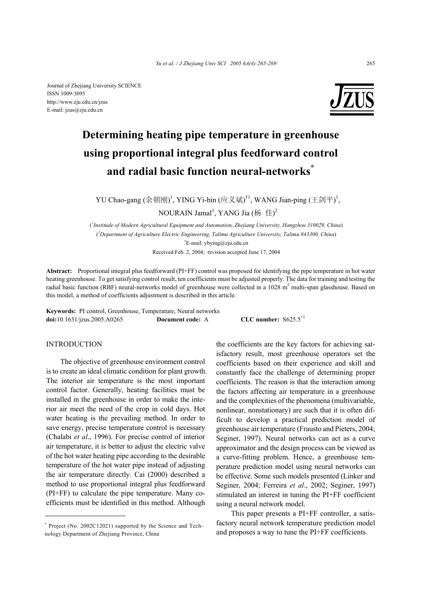

# **Determining heating pipe temperature in greenhouse using proportional integral plus feedforward control and radial basic function neural-networks\***

YU Chao-gang (余朝刚)<sup>1</sup>, YING Yi-bin (应义斌)<sup>†1</sup>, WANG Jian-ping (王剑平)<sup>1</sup>,

NOURAIN Jamal<sup>1</sup>, YANG Jia (杨 佳)<sup>2</sup>

( *1 Institude of Modern Agricultural Equipment and Automation, Zhejiang University, Hangzhou 310029, China*) ( *2 Department of Agriculture Electric Engineering, Talimu Agriculture University, Talimu 843300, China*) † E-mail: ybying@zju.edu.cn Received Feb. 2, 2004; revision accepted June 17, 2004

**Abstract:** Proportional integral plus feedforward (PI+FF) control was proposed for identifying the pipe temperature in hot water heating greenhouse. To get satisfying control result, ten coefficients must be adjusted properly. The data for training and testing the radial basic function (RBF) neural-networks model of greenhouse were collected in a  $1028 \text{ m}^2$  multi-span glasshouse. Based on this model, a method of coefficients adjustment is described in this article.

**Keywords:** PI control, Greenhouse, Temperature, Neural networks **doi:**10.1631/jzus.2005.A0265 **Document code:** A **CLC number:** S625.5<sup>+1</sup>

## **INTRODUCTION**

The objective of greenhouse environment control is to create an ideal climatic condition for plant growth. The interior air temperature is the most important control factor. Generally, heating facilities must be installed in the greenhouse in order to make the interior air meet the need of the crop in cold days. Hot water heating is the prevailing method. In order to save energy, precise temperature control is necessary (Chalabi *et al*., 1996). For precise control of interior air temperature, it is better to adjust the electric valve of the hot water heating pipe according to the desirable temperature of the hot water pipe instead of adjusting the air temperature directly. Cai (2000) described a method to use proportional integral plus feedforward (PI+FF) to calculate the pipe temperature. Many coefficients must be identified in this method. Although

the coefficients are the key factors for achieving satisfactory result, most greenhouse operators set the coefficients based on their experience and skill and constantly face the challenge of determining proper coefficients. The reason is that the interaction among the factors affecting air temperature in a greenhouse and the complexities of the phenomena (multivariable, nonlinear, nonstationary) are such that it is often difficult to develop a practical prediction model of greenhouse air temperature (Frausto and Pieters, 2004; Seginer, 1997). Neural networks can act as a curve approximator and the design process can be viewed as a curve-fitting problem. Hence, a greenhouse temperature prediction model using neural networks can be effective. Some such models presented (Linker and Seginer, 2004; Ferreira *et al*., 2002; Seginer, 1997) stimulated an interest in tuning the PI+FF coefficient using a neural network model.

This paper presents a PI+FF controller, a satisfactory neural network temperature prediction model and proposes a way to tune the PI+FF coefficients.

<sup>\*</sup> Project (No. 2002C12021) supported by the Science and Technology Department of Zhejiang Province, China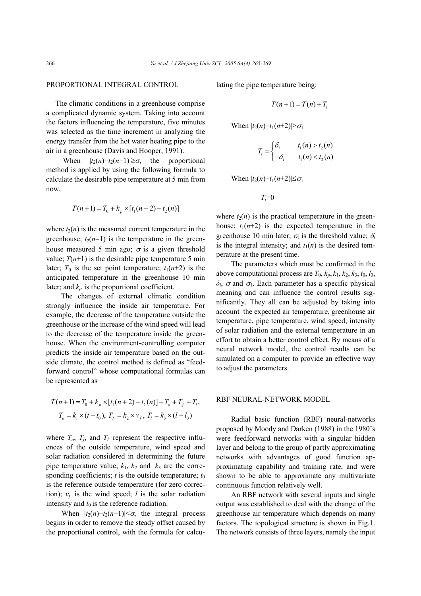### PROPORTIONAL INTEGRAL CONTROL

 The climatic conditions in a greenhouse comprise a complicated dynamic system. Taking into account the factors influencing the temperature, five minutes was selected as the time increment in analyzing the energy transfer from the hot water heating pipe to the air in a greenhouse (Davis and Hooper, 1991).

When  $|t_2(n)-t_2(n-1)| \ge \sigma$ , the proportional method is applied by using the following formula to calculate the desirable pipe temperature at 5 min from now,

$$
T(n+1) = T_0 + k_p \times [t_1(n+2) - t_2(n)]
$$

where  $t_2(n)$  is the measured current temperature in the greenhouse;  $t_2(n-1)$  is the temperature in the greenhouse measured 5 min ago;  $\sigma$  is a given threshold value;  $T(n+1)$  is the desirable pipe temperature 5 min later;  $T_0$  is the set point temperature;  $t_1(n+2)$  is the anticipated temperature in the greenhouse 10 min later; and  $k_p$  is the proportional coefficient.

The changes of external climatic condition strongly influence the inside air temperature. For example, the decrease of the temperature outside the greenhouse or the increase of the wind speed will lead to the decrease of the temperature inside the greenhouse. When the environment-controlling computer predicts the inside air temperature based on the outside climate, the control method is defined as "feedforward control" whose computational formulas can be represented as

$$
T(n+1) = T_0 + k_p \times [t_1(n+2) - t_2(n)] + T_0 + T_f + T_f,
$$
  
\n
$$
T_o = k_1 \times (t - t_0), T_f = k_2 \times v_f, T_i = k_3 \times (l - l_0)
$$

where  $T_o$ ,  $T_f$ , and  $T_l$  represent the respective influences of the outside temperature, wind speed and solar radiation considered in determining the future pipe temperature value;  $k_1$ ,  $k_2$  and  $k_3$  are the corresponding coefficients;  $t$  is the outside temperature;  $t_0$ is the reference outside temperature (for zero correction);  $v_f$  is the wind speed; *l* is the solar radiation intensity and  $l_0$  is the reference radiation.

When  $|t_2(n)-t_2(n-1)| < \sigma$ , the integral process begins in order to remove the steady offset caused by the proportional control, with the formula for calculating the pipe temperature being:

$$
T(n+1) = T(n) + T_i
$$

When  $|t_2(n)-t_1(n+2)| > \sigma_1$ 

$$
T_i = \begin{cases} \delta_i & t_1(n) > t_2(n) \\ -\delta_i & t_1(n) < t_2(n) \end{cases}
$$

When  $|t_2(n)-t_1(n+2)| \leq \sigma_1$ 

 $T_i = 0$ 

where  $t_2(n)$  is the practical temperature in the greenhouse;  $t_1(n+2)$  is the expected temperature in the greenhouse 10 min later;  $\sigma_1$  is the threshold value;  $\delta_i$ is the integral intensity; and  $t_1(n)$  is the desired temperature at the present time.

The parameters which must be confirmed in the above computational process are  $T_0$ ,  $k_p$ ,  $k_1$ ,  $k_2$ ,  $k_3$ ,  $t_0$ ,  $l_0$ ,  $\delta$ *i*,  $\sigma$  and  $\sigma$ <sub>1</sub>. Each parameter has a specific physical meaning and can influence the control results significantly. They all can be adjusted by taking into account the expected air temperature, greenhouse air temperature, pipe temperature, wind speed, intensity of solar radiation and the external temperature in an effort to obtain a better control effect. By means of a neural network model, the control results can be simulated on a computer to provide an effective way to adjust the parameters.

#### RBF NEURAL-NETWORK MODEL

Radial basic function (RBF) neural-networks proposed by Moody and Darken (1988) in the 1980's were feedforward networks with a singular hidden layer and belong to the group of partly approximating networks with advantages of good function approximating capability and training rate, and were shown to be able to approximate any multivariate continuous function relatively well.

An RBF network with several inputs and single output was established to deal with the change of the greenhouse air temperature which depends on many factors. The topological structure is shown in Fig.1. The network consists of three layers, namely the input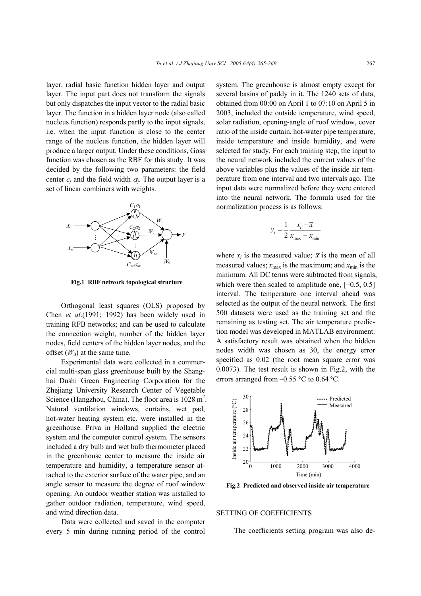layer, radial basic function hidden layer and output layer. The input part does not transform the signals but only dispatches the input vector to the radial basic layer. The function in a hidden layer node (also called nucleus function) responds partly to the input signals, i.e. when the input function is close to the center range of the nucleus function, the hidden layer will produce a larger output. Under these conditions, Goss function was chosen as the RBF for this study. It was decided by the following two parameters: the field center  $c_i$  and the field width  $\alpha_i$ . The output layer is a set of linear combiners with weights.



**Fig.1 RBF network topological structure** 

Orthogonal least squares (OLS) proposed by Chen *et al*.(1991; 1992) has been widely used in training RFB networks; and can be used to calculate the connection weight, number of the hidden layer nodes, field centers of the hidden layer nodes, and the offset  $(W_0)$  at the same time.

Experimental data were collected in a commercial multi-span glass greenhouse built by the Shanghai Dushi Green Engineering Corporation for the Zhejiang University Research Center of Vegetable Science (Hangzhou, China). The floor area is  $1028 \text{ m}^2$ . Natural ventilation windows, curtains, wet pad, hot-water heating system etc. were installed in the greenhouse. Priva in Holland supplied the electric system and the computer control system. The sensors included a dry bulb and wet bulb thermometer placed in the greenhouse center to measure the inside air temperature and humidity, a temperature sensor attached to the exterior surface of the water pipe, and an angle sensor to measure the degree of roof window opening. An outdoor weather station was installed to gather outdoor radiation, temperature, wind speed, and wind direction data.

Data were collected and saved in the computer every 5 min during running period of the control system. The greenhouse is almost empty except for several basins of paddy in it. The 1240 sets of data, obtained from 00:00 on April 1 to 07:10 on April 5 in 2003, included the outside temperature, wind speed, solar radiation, opening-angle of roof window, cover ratio of the inside curtain, hot-water pipe temperature, inside temperature and inside humidity, and were selected for study. For each training step, the input to the neural network included the current values of the above variables plus the values of the inside air temperature from one interval and two intervals ago. The input data were normalized before they were entered into the neural network. The formula used for the normalization process is as follows:

$$
y_i = \frac{1}{2} \frac{x_i - \overline{x}}{x_{\text{max}} - x_{\text{min}}}
$$

where  $x_i$  is the measured value;  $\bar{x}$  is the mean of all measured values;  $x_{\text{max}}$  is the maximum; and  $x_{\text{min}}$  is the minimum. All DC terms were subtracted from signals, which were then scaled to amplitude one, [−0.5, 0.5] interval. The temperature one interval ahead was selected as the output of the neural network. The first 500 datasets were used as the training set and the remaining as testing set. The air temperature prediction model was developed in MATLAB environment. A satisfactory result was obtained when the hidden nodes width was chosen as 30, the energy error specified as 0.02 (the root mean square error was 0.0073). The test result is shown in Fig.2, with the errors arranged from  $-0.55$  °C to 0.64 °C.



**Fig.2 Predicted and observed inside air temperature** 

#### SETTING OF COEFFICIENTS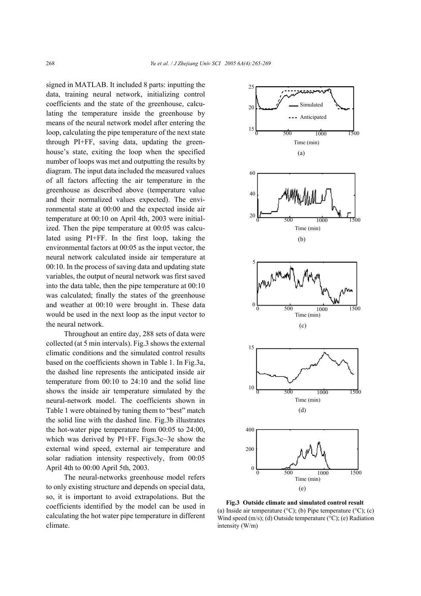signed in MATLAB. It included 8 parts: inputting the data, training neural network, initializing control coefficients and the state of the greenhouse, calculating the temperature inside the greenhouse by means of the neural network model after entering the loop, calculating the pipe temperature of the next state through PI+FF, saving data, updating the greenhouse's state, exiting the loop when the specified number of loops was met and outputting the results by diagram. The input data included the measured values of all factors affecting the air temperature in the greenhouse as described above (temperature value and their normalized values expected). The environmental state at 00:00 and the expected inside air temperature at 00:10 on April 4th, 2003 were initialized. Then the pipe temperature at 00:05 was calculated using PI+FF. In the first loop, taking the environmental factors at 00:05 as the input vector, the neural network calculated inside air temperature at 00:10. In the process of saving data and updating state variables, the output of neural network was first saved into the data table, then the pipe temperature at 00:10 was calculated; finally the states of the greenhouse and weather at 00:10 were brought in. These data would be used in the next loop as the input vector to the neural network.

Throughout an entire day, 288 sets of data were collected (at 5 min intervals). Fig.3 shows the external climatic conditions and the simulated control results based on the coefficients shown in Table 1. In Fig.3a, the dashed line represents the anticipated inside air temperature from 00:10 to 24:10 and the solid line shows the inside air temperature simulated by the neural-network model. The coefficients shown in Table 1 were obtained by tuning them to "best" match the solid line with the dashed line. Fig.3b illustrates the hot-water pipe temperature from 00:05 to 24:00, which was derived by PI+FF. Figs.3c~3e show the external wind speed, external air temperature and solar radiation intensity respectively, from 00:05 April 4th to 00:00 April 5th, 2003.

The neural-networks greenhouse model refers to only existing structure and depends on special data, so, it is important to avoid extrapolations. But the coefficients identified by the model can be used in calculating the hot water pipe temperature in different climate.



**Fig.3 Outside climate and simulated control result**  (a) Inside air temperature ( $\rm{°C}$ ); (b) Pipe temperature ( $\rm{°C}$ ); (c) Wind speed  $(m/s)$ ; (d) Outside temperature ( $\rm{°C}$ ); (e) Radiation intensity (W/m)